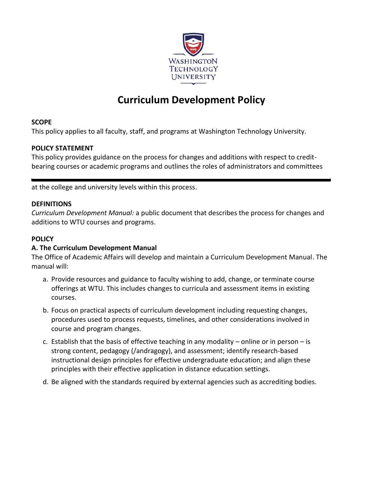

# **Curriculum Development Policy**

# **SCOPE**

This policy applies to all faculty, staff, and programs at Washington Technology University.

# **POLICY STATEMENT**

This policy provides guidance on the process for changes and additions with respect to creditbearing courses or academic programs and outlines the roles of administrators and committees

at the college and university levels within this process.

# **DEFINITIONS**

*Curriculum Development Manual:* a public document that describes the process for changes and additions to WTU courses and programs.

# **POLICY**

# **A. The Curriculum Development Manual**

The Office of Academic Affairs will develop and maintain a Curriculum Development Manual. The manual will:

- a. Provide resources and guidance to faculty wishing to add, change, or terminate course offerings at WTU. This includes changes to curricula and assessment items in existing courses.
- b. Focus on practical aspects of curriculum development including requesting changes, procedures used to process requests, timelines, and other considerations involved in course and program changes.
- c. Establish that the basis of effective teaching in any modality online or in person is strong content, pedagogy (/andragogy), and assessment; identify research-based instructional design principles for effective undergraduate education; and align these principles with their effective application in distance education settings.
- d. Be aligned with the standards required by external agencies such as accrediting bodies.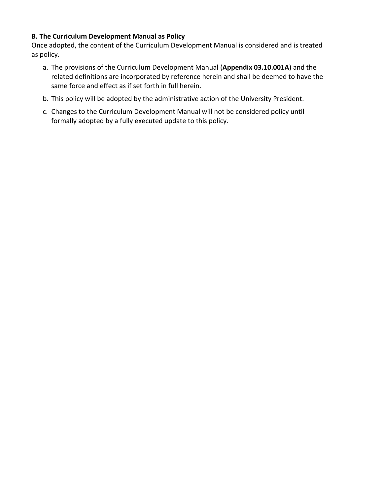# **B. The Curriculum Development Manual as Policy**

Once adopted, the content of the Curriculum Development Manual is considered and is treated as policy.

- a. The provisions of the Curriculum Development Manual (**Appendix 03.10.001A**) and the related definitions are incorporated by reference herein and shall be deemed to have the same force and effect as if set forth in full herein.
- b. This policy will be adopted by the administrative action of the University President.
- c. Changes to the Curriculum Development Manual will not be considered policy until formally adopted by a fully executed update to this policy.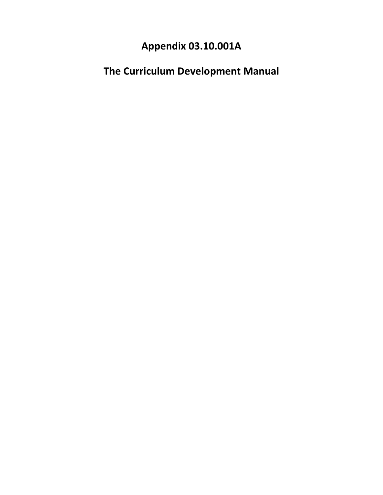# **Appendix 03.10.001A**

**The Curriculum Development Manual**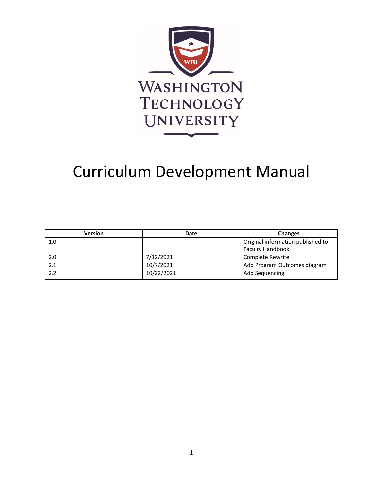

# Curriculum Development Manual

| <b>Version</b> | Date       | <b>Changes</b>                    |
|----------------|------------|-----------------------------------|
| 1.0            |            | Original information published to |
|                |            | <b>Faculty Handbook</b>           |
| 2.0            | 7/12/2021  | Complete Rewrite                  |
| 2.1            | 10/7/2021  | Add Program Outcomes diagram      |
| 2.2            | 10/22/2021 | <b>Add Sequencing</b>             |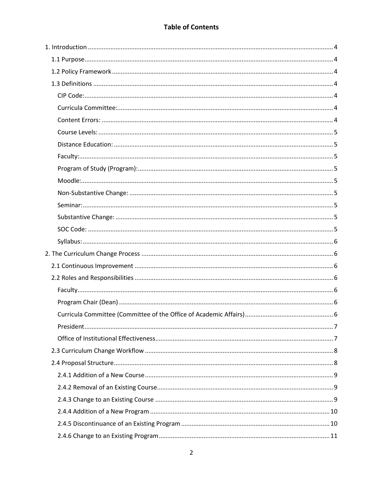# **Table of Contents**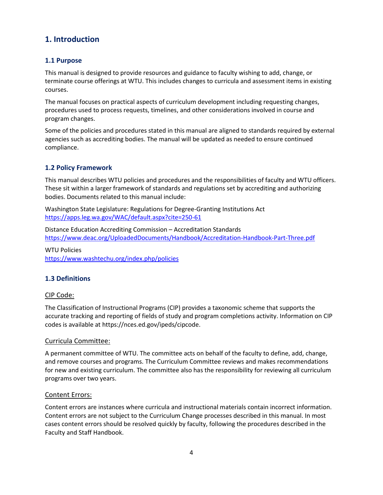# <span id="page-6-0"></span>**1. Introduction**

# <span id="page-6-1"></span>**1.1 Purpose**

This manual is designed to provide resources and guidance to faculty wishing to add, change, or terminate course offerings at WTU. This includes changes to curricula and assessment items in existing courses.

The manual focuses on practical aspects of curriculum development including requesting changes, procedures used to process requests, timelines, and other considerations involved in course and program changes.

Some of the policies and procedures stated in this manual are aligned to standards required by external agencies such as accrediting bodies. The manual will be updated as needed to ensure continued compliance.

# <span id="page-6-2"></span>**1.2 Policy Framework**

This manual describes WTU policies and procedures and the responsibilities of faculty and WTU officers. These sit within a larger framework of standards and regulations set by accrediting and authorizing bodies. Documents related to this manual include:

Washington State Legislature: Regulations for Degree-Granting Institutions Act <https://apps.leg.wa.gov/WAC/default.aspx?cite=250-61>

Distance Education Accrediting Commission – Accreditation Standards <https://www.deac.org/UploadedDocuments/Handbook/Accreditation-Handbook-Part-Three.pdf>

WTU Policies <https://www.washtechu.org/index.php/policies>

# <span id="page-6-3"></span>**1.3 Definitions**

#### <span id="page-6-4"></span>CIP Code:

The Classification of Instructional Programs (CIP) provides a taxonomic scheme that supports the accurate tracking and reporting of fields of study and program completions activity. Information on CIP codes is available at https://nces.ed.gov/ipeds/cipcode.

#### <span id="page-6-5"></span>Curricula Committee:

A permanent committee of WTU. The committee acts on behalf of the faculty to define, add, change, and remove courses and programs. The Curriculum Committee reviews and makes recommendations for new and existing curriculum. The committee also has the responsibility for reviewing all curriculum programs over two years.

#### <span id="page-6-6"></span>Content Errors:

Content errors are instances where curricula and instructional materials contain incorrect information. Content errors are not subject to the Curriculum Change processes described in this manual. In most cases content errors should be resolved quickly by faculty, following the procedures described in the Faculty and Staff Handbook.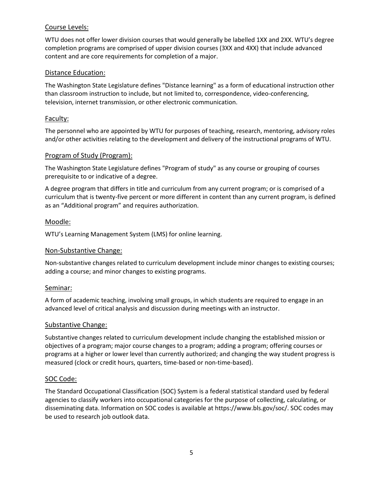#### <span id="page-7-0"></span>Course Levels:

WTU does not offer lower division courses that would generally be labelled 1XX and 2XX. WTU's degree completion programs are comprised of upper division courses (3XX and 4XX) that include advanced content and are core requirements for completion of a major.

#### <span id="page-7-1"></span>Distance Education:

The Washington State Legislature defines "Distance learning" as a form of educational instruction other than classroom instruction to include, but not limited to, correspondence, video-conferencing, television, internet transmission, or other electronic communication.

#### <span id="page-7-2"></span>Faculty:

The personnel who are appointed by WTU for purposes of teaching, research, mentoring, advisory roles and/or other activities relating to the development and delivery of the instructional programs of WTU.

#### <span id="page-7-3"></span>Program of Study (Program):

The Washington State Legislature defines "Program of study" as any course or grouping of courses prerequisite to or indicative of a degree.

A degree program that differs in title and curriculum from any current program; or is comprised of a curriculum that is twenty-five percent or more different in content than any current program, is defined as an "Additional program" and requires authorization.

#### <span id="page-7-4"></span>Moodle:

WTU's Learning Management System (LMS) for online learning.

#### <span id="page-7-5"></span>Non-Substantive Change:

Non-substantive changes related to curriculum development include minor changes to existing courses; adding a course; and minor changes to existing programs.

#### <span id="page-7-6"></span>Seminar:

A form of academic teaching, involving small groups, in which students are required to engage in an advanced level of critical analysis and discussion during meetings with an instructor.

#### <span id="page-7-7"></span>Substantive Change:

Substantive changes related to curriculum development include changing the established mission or objectives of a program; major course changes to a program; adding a program; offering courses or programs at a higher or lower level than currently authorized; and changing the way student progress is measured (clock or credit hours, quarters, time-based or non-time-based).

#### <span id="page-7-8"></span>SOC Code:

The Standard Occupational Classification (SOC) System is a federal statistical standard used by federal agencies to classify workers into occupational categories for the purpose of collecting, calculating, or disseminating data. Information on SOC codes is available at https://www.bls.gov/soc/. SOC codes may be used to research job outlook data.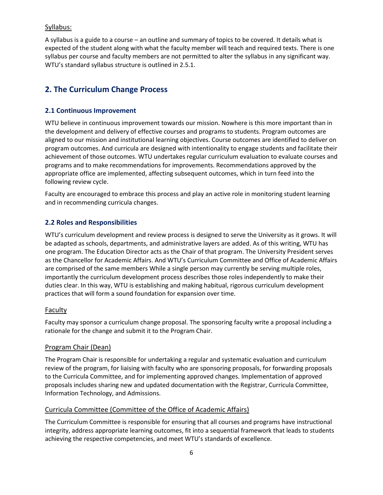#### <span id="page-8-0"></span>Syllabus:

A syllabus is a guide to a course – an outline and summary of topics to be covered. It details what is expected of the student along with what the faculty member will teach and required texts. There is one syllabus per course and faculty members are not permitted to alter the syllabus in any significant way. WTU's standard syllabus structure is outlined in 2.5.1.

# <span id="page-8-1"></span>**2. The Curriculum Change Process**

#### <span id="page-8-2"></span>**2.1 Continuous Improvement**

WTU believe in continuous improvement towards our mission. Nowhere is this more important than in the development and delivery of effective courses and programs to students. Program outcomes are aligned to our mission and institutional learning objectives. Course outcomes are identified to deliver on program outcomes. And curricula are designed with intentionality to engage students and facilitate their achievement of those outcomes. WTU undertakes regular curriculum evaluation to evaluate courses and programs and to make recommendations for improvements. Recommendations approved by the appropriate office are implemented, affecting subsequent outcomes, which in turn feed into the following review cycle.

Faculty are encouraged to embrace this process and play an active role in monitoring student learning and in recommending curricula changes.

#### <span id="page-8-3"></span>**2.2 Roles and Responsibilities**

WTU's curriculum development and review process is designed to serve the University as it grows. It will be adapted as schools, departments, and administrative layers are added. As of this writing, WTU has one program. The Education Director acts as the Chair of that program. The University President serves as the Chancellor for Academic Affairs. And WTU's Curriculum Committee and Office of Academic Affairs are comprised of the same members While a single person may currently be serving multiple roles, importantly the curriculum development process describes those roles independently to make their duties clear. In this way, WTU is establishing and making habitual, rigorous curriculum development practices that will form a sound foundation for expansion over time.

#### <span id="page-8-4"></span>Faculty

Faculty may sponsor a curriculum change proposal. The sponsoring faculty write a proposal including a rationale for the change and submit it to the Program Chair.

#### <span id="page-8-5"></span>Program Chair (Dean)

The Program Chair is responsible for undertaking a regular and systematic evaluation and curriculum review of the program, for liaising with faculty who are sponsoring proposals, for forwarding proposals to the Curricula Committee, and for implementing approved changes. Implementation of approved proposals includes sharing new and updated documentation with the Registrar, Curricula Committee, Information Technology, and Admissions.

#### <span id="page-8-6"></span>Curricula Committee (Committee of the Office of Academic Affairs)

The Curriculum Committee is responsible for ensuring that all courses and programs have instructional integrity, address appropriate learning outcomes, fit into a sequential framework that leads to students achieving the respective competencies, and meet WTU's standards of excellence.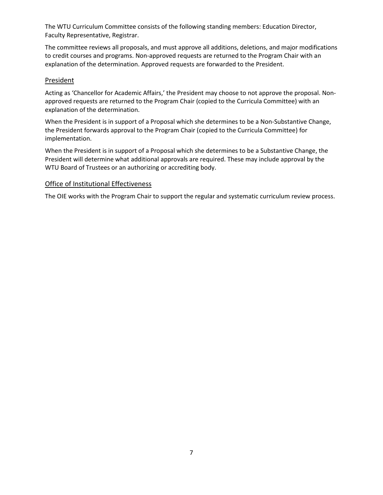The WTU Curriculum Committee consists of the following standing members: Education Director, Faculty Representative, Registrar.

The committee reviews all proposals, and must approve all additions, deletions, and major modifications to credit courses and programs. Non-approved requests are returned to the Program Chair with an explanation of the determination. Approved requests are forwarded to the President.

#### <span id="page-9-0"></span>**President**

Acting as 'Chancellor for Academic Affairs,' the President may choose to not approve the proposal. Nonapproved requests are returned to the Program Chair (copied to the Curricula Committee) with an explanation of the determination.

When the President is in support of a Proposal which she determines to be a Non-Substantive Change, the President forwards approval to the Program Chair (copied to the Curricula Committee) for implementation.

When the President is in support of a Proposal which she determines to be a Substantive Change, the President will determine what additional approvals are required. These may include approval by the WTU Board of Trustees or an authorizing or accrediting body.

#### <span id="page-9-1"></span>Office of Institutional Effectiveness

The OIE works with the Program Chair to support the regular and systematic curriculum review process.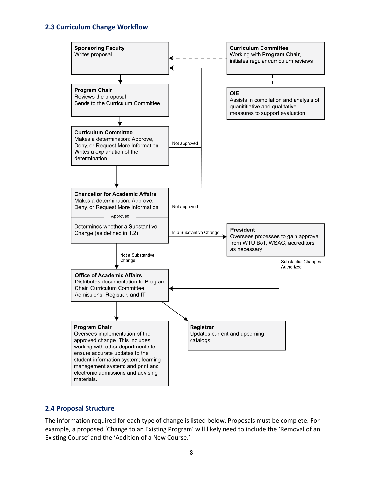#### <span id="page-10-0"></span>**2.3 Curriculum Change Workflow**



#### <span id="page-10-1"></span>**2.4 Proposal Structure**

The information required for each type of change is listed below. Proposals must be complete. For example, a proposed 'Change to an Existing Program' will likely need to include the 'Removal of an Existing Course' and the 'Addition of a New Course.'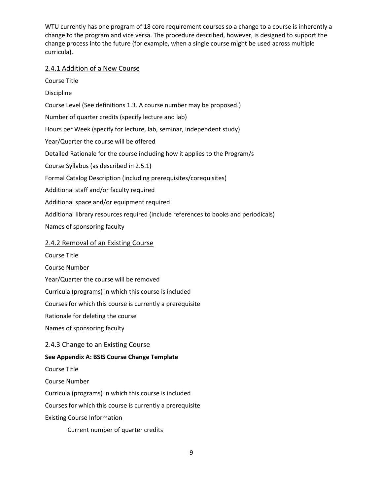WTU currently has one program of 18 core requirement courses so a change to a course is inherently a change to the program and vice versa. The procedure described, however, is designed to support the change process into the future (for example, when a single course might be used across multiple curricula).

#### <span id="page-11-0"></span>2.4.1 Addition of a New Course

Course Title Discipline Course Level (See definitions 1.3. A course number may be proposed.) Number of quarter credits (specify lecture and lab) Hours per Week (specify for lecture, lab, seminar, independent study) Year/Quarter the course will be offered Detailed Rationale for the course including how it applies to the Program/s Course Syllabus (as described in 2.5.1) Formal Catalog Description (including prerequisites/corequisites) Additional staff and/or faculty required Additional space and/or equipment required Additional library resources required (include references to books and periodicals) Names of sponsoring faculty

#### <span id="page-11-1"></span>2.4.2 Removal of an Existing Course

Course Title

Course Number

Year/Quarter the course will be removed

Curricula (programs) in which this course is included

Courses for which this course is currently a prerequisite

Rationale for deleting the course

Names of sponsoring faculty

#### <span id="page-11-2"></span>2.4.3 Change to an Existing Course

#### **See Appendix A: BSIS Course Change Template**

Course Title

Course Number

Curricula (programs) in which this course is included

Courses for which this course is currently a prerequisite

#### Existing Course Information

Current number of quarter credits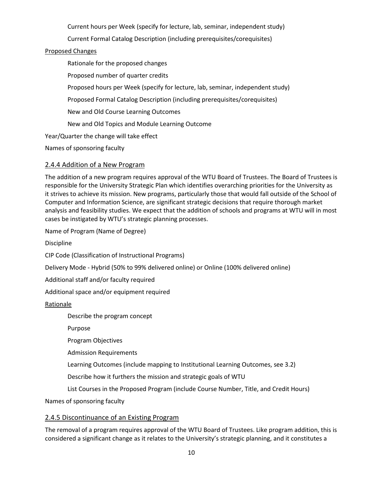Current hours per Week (specify for lecture, lab, seminar, independent study)

Current Formal Catalog Description (including prerequisites/corequisites)

#### Proposed Changes

Rationale for the proposed changes

Proposed number of quarter credits

Proposed hours per Week (specify for lecture, lab, seminar, independent study)

Proposed Formal Catalog Description (including prerequisites/corequisites)

New and Old Course Learning Outcomes

New and Old Topics and Module Learning Outcome

Year/Quarter the change will take effect

Names of sponsoring faculty

#### <span id="page-12-0"></span>2.4.4 Addition of a New Program

The addition of a new program requires approval of the WTU Board of Trustees. The Board of Trustees is responsible for the University Strategic Plan which identifies overarching priorities for the University as it strives to achieve its mission. New programs, particularly those that would fall outside of the School of Computer and Information Science, are significant strategic decisions that require thorough market analysis and feasibility studies. We expect that the addition of schools and programs at WTU will in most cases be instigated by WTU's strategic planning processes.

Name of Program (Name of Degree)

Discipline

CIP Code (Classification of Instructional Programs)

Delivery Mode - Hybrid (50% to 99% delivered online) or Online (100% delivered online)

Additional staff and/or faculty required

Additional space and/or equipment required

Rationale

Describe the program concept

Purpose

Program Objectives

Admission Requirements

Learning Outcomes (include mapping to Institutional Learning Outcomes, see 3.2)

Describe how it furthers the mission and strategic goals of WTU

List Courses in the Proposed Program (include Course Number, Title, and Credit Hours)

Names of sponsoring faculty

#### <span id="page-12-1"></span>2.4.5 Discontinuance of an Existing Program

The removal of a program requires approval of the WTU Board of Trustees. Like program addition, this is considered a significant change as it relates to the University's strategic planning, and it constitutes a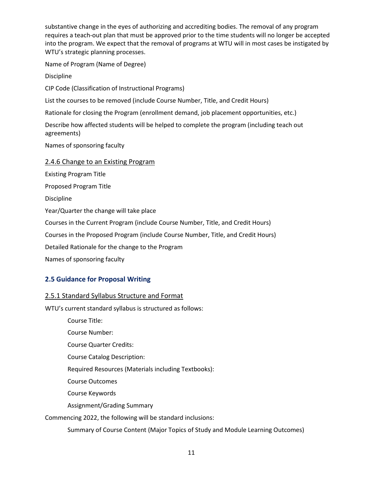substantive change in the eyes of authorizing and accrediting bodies. The removal of any program requires a teach-out plan that must be approved prior to the time students will no longer be accepted into the program. We expect that the removal of programs at WTU will in most cases be instigated by WTU's strategic planning processes.

Name of Program (Name of Degree)

Discipline

CIP Code (Classification of Instructional Programs)

List the courses to be removed (include Course Number, Title, and Credit Hours)

Rationale for closing the Program (enrollment demand, job placement opportunities, etc.)

Describe how affected students will be helped to complete the program (including teach out agreements)

Names of sponsoring faculty

#### <span id="page-13-0"></span>2.4.6 Change to an Existing Program

Existing Program Title

Proposed Program Title

Discipline

Year/Quarter the change will take place

Courses in the Current Program (include Course Number, Title, and Credit Hours)

Courses in the Proposed Program (include Course Number, Title, and Credit Hours)

Detailed Rationale for the change to the Program

Names of sponsoring faculty

#### <span id="page-13-1"></span>**2.5 Guidance for Proposal Writing**

#### <span id="page-13-2"></span>2.5.1 Standard Syllabus Structure and Format

WTU's current standard syllabus is structured as follows:

Course Title:

Course Number:

Course Quarter Credits:

Course Catalog Description:

Required Resources (Materials including Textbooks):

Course Outcomes

Course Keywords

Assignment/Grading Summary

Commencing 2022, the following will be standard inclusions:

Summary of Course Content (Major Topics of Study and Module Learning Outcomes)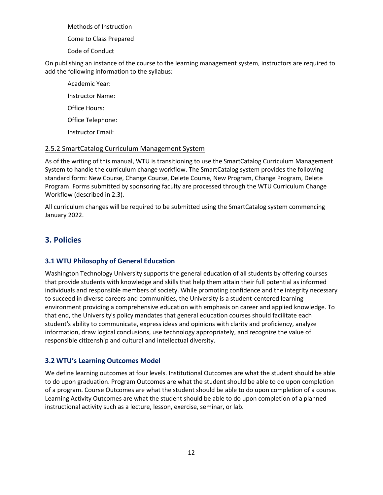Methods of Instruction

Come to Class Prepared

Code of Conduct

On publishing an instance of the course to the learning management system, instructors are required to add the following information to the syllabus:

Academic Year: Instructor Name: Office Hours: Office Telephone: Instructor Email:

#### <span id="page-14-0"></span>2.5.2 SmartCatalog Curriculum Management System

As of the writing of this manual, WTU is transitioning to use the SmartCatalog Curriculum Management System to handle the curriculum change workflow. The SmartCatalog system provides the following standard form: New Course, Change Course, Delete Course, New Program, Change Program, Delete Program. Forms submitted by sponsoring faculty are processed through the WTU Curriculum Change Workflow (described in 2.3).

All curriculum changes will be required to be submitted using the SmartCatalog system commencing January 2022.

# <span id="page-14-1"></span>**3. Policies**

#### <span id="page-14-2"></span>**3.1 WTU Philosophy of General Education**

Washington Technology University supports the general education of all students by offering courses that provide students with knowledge and skills that help them attain their full potential as informed individuals and responsible members of society. While promoting confidence and the integrity necessary to succeed in diverse careers and communities, the University is a student-centered learning environment providing a comprehensive education with emphasis on career and applied knowledge. To that end, the University's policy mandates that general education courses should facilitate each student's ability to communicate, express ideas and opinions with clarity and proficiency, analyze information, draw logical conclusions, use technology appropriately, and recognize the value of responsible citizenship and cultural and intellectual diversity.

#### <span id="page-14-3"></span>**3.2 WTU's Learning Outcomes Model**

We define learning outcomes at four levels. Institutional Outcomes are what the student should be able to do upon graduation. Program Outcomes are what the student should be able to do upon completion of a program. Course Outcomes are what the student should be able to do upon completion of a course. Learning Activity Outcomes are what the student should be able to do upon completion of a planned instructional activity such as a lecture, lesson, exercise, seminar, or lab.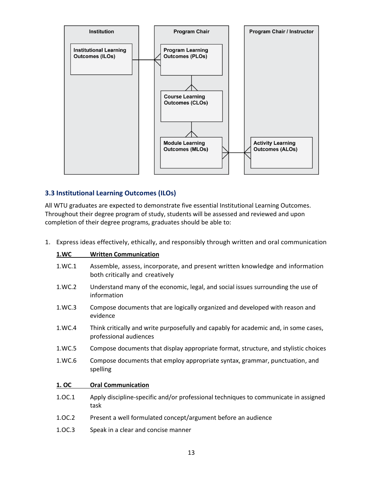

#### <span id="page-15-0"></span>**3.3 Institutional Learning Outcomes (ILOs)**

All WTU graduates are expected to demonstrate five essential Institutional Learning Outcomes. Throughout their degree program of study, students will be assessed and reviewed and upon completion of their degree programs, graduates should be able to:

|             | Express ideas effectively, ethically, and responsibly through written and oral communication                   |
|-------------|----------------------------------------------------------------------------------------------------------------|
| <b>1.WC</b> | <b>Written Communication</b>                                                                                   |
| 1.WC.1      | Assemble, assess, incorporate, and present written knowledge and information<br>both critically and creatively |
| 1.WC.2      | Understand many of the economic, legal, and social issues surrounding the use of<br>information                |
| 1.WC.3      | Compose documents that are logically organized and developed with reason and<br>evidence                       |
| 1.WC.4      | Think critically and write purposefully and capably for academic and, in some cases,<br>professional audiences |
| 1.WC.5      | Compose documents that display appropriate format, structure, and stylistic choices                            |
| 1.WC.6      | Compose documents that employ appropriate syntax, grammar, punctuation, and<br>spelling                        |
| 1. OC       | <b>Oral Communication</b>                                                                                      |
| 1.0C.1      | Apply discipline-specific and/or professional techniques to communicate in assigned<br>task                    |
| 1.OC.2      | Present a well formulated concept/argument before an audience                                                  |
| 1.OC.3      | Speak in a clear and concise manner                                                                            |
|             | 13                                                                                                             |
|             |                                                                                                                |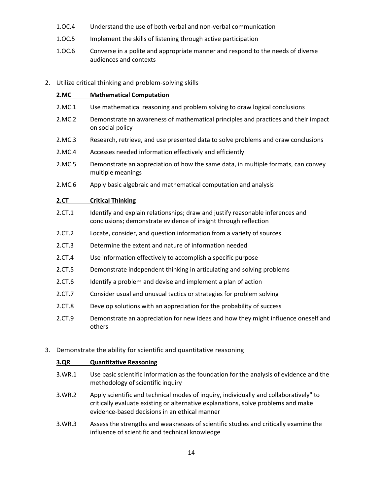- 1.OC.4 Understand the use of both verbal and non-verbal communication
- 1.OC.5 Implement the skills of listening through active participation
- 1.OC.6 Converse in a polite and appropriate manner and respond to the needs of diverse audiences and contexts
- 2. Utilize critical thinking and problem-solving skills

| 2.MC   | <b>Mathematical Computation</b>                                                                                                                   |
|--------|---------------------------------------------------------------------------------------------------------------------------------------------------|
| 2.MC.1 | Use mathematical reasoning and problem solving to draw logical conclusions                                                                        |
| 2.MC.2 | Demonstrate an awareness of mathematical principles and practices and their impact<br>on social policy                                            |
| 2.MC.3 | Research, retrieve, and use presented data to solve problems and draw conclusions                                                                 |
| 2.MC.4 | Accesses needed information effectively and efficiently                                                                                           |
| 2.MC.5 | Demonstrate an appreciation of how the same data, in multiple formats, can convey<br>multiple meanings                                            |
| 2.MC.6 | Apply basic algebraic and mathematical computation and analysis                                                                                   |
| 2.CT   | <b>Critical Thinking</b>                                                                                                                          |
| 2.CT.1 | Identify and explain relationships; draw and justify reasonable inferences and<br>conclusions; demonstrate evidence of insight through reflection |
| 2.CT.2 | Locate, consider, and question information from a variety of sources                                                                              |
| 2.CT.3 | Determine the extent and nature of information needed                                                                                             |
| 2.CT.4 | Use information effectively to accomplish a specific purpose                                                                                      |
| 2.CT.5 | Demonstrate independent thinking in articulating and solving problems                                                                             |
| 2.CT.6 | Identify a problem and devise and implement a plan of action                                                                                      |
| 2.CT.7 | Consider usual and unusual tactics or strategies for problem solving                                                                              |
| 2.CT.8 | Develop solutions with an appreciation for the probability of success                                                                             |
| 2.CT.9 | Demonstrate an appreciation for new ideas and how they might influence oneself and<br>others                                                      |

3. Demonstrate the ability for scientific and quantitative reasoning

| 3.QR<br><b>Quantitative Reasoning</b> |
|---------------------------------------|
|---------------------------------------|

- 3.WR.1 Use basic scientific information as the foundation for the analysis of evidence and the methodology of scientific inquiry
- 3.WR.2 Apply scientific and technical modes of inquiry, individually and collaboratively" to critically evaluate existing or alternative explanations, solve problems and make evidence-based decisions in an ethical manner
- 3.WR.3 Assess the strengths and weaknesses of scientific studies and critically examine the influence of scientific and technical knowledge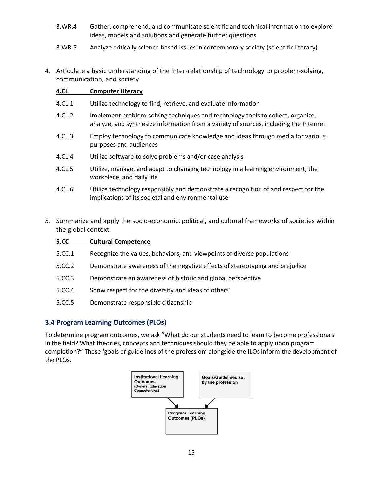- 3.WR.4 Gather, comprehend, and communicate scientific and technical information to explore ideas, models and solutions and generate further questions
- 3.WR.5 Analyze critically science-based issues in contemporary society (scientific literacy)
- 4. Articulate a basic understanding of the inter-relationship of technology to problem-solving, communication, and society

#### **4.CL Computer Literacy**

- 4.CL.1 Utilize technology to find, retrieve, and evaluate information
- 4.CL.2 Implement problem-solving techniques and technology tools to collect, organize, analyze, and synthesize information from a variety of sources, including the Internet
- 4.CL.3 Employ technology to communicate knowledge and ideas through media for various purposes and audiences
- 4.CL.4 Utilize software to solve problems and/or case analysis
- 4.CL.5 Utilize, manage, and adapt to changing technology in a learning environment, the workplace, and daily life
- 4.CL.6 Utilize technology responsibly and demonstrate a recognition of and respect for the implications of its societal and environmental use
- 5. Summarize and apply the socio-economic, political, and cultural frameworks of societies within the global context

| 5.CC   | <b>Cultural Competence</b>                                                  |
|--------|-----------------------------------------------------------------------------|
| 5.CC.1 | Recognize the values, behaviors, and viewpoints of diverse populations      |
| 5.CC.2 | Demonstrate awareness of the negative effects of stereotyping and prejudice |
| 5.CC.3 | Demonstrate an awareness of historic and global perspective                 |
| 5.CC.4 | Show respect for the diversity and ideas of others                          |
| 5.CC.5 | Demonstrate responsible citizenship                                         |

#### <span id="page-17-0"></span>**3.4 Program Learning Outcomes (PLOs)**

To determine program outcomes, we ask "What do our students need to learn to become professionals in the field? What theories, concepts and techniques should they be able to apply upon program completion?" These 'goals or guidelines of the profession' alongside the ILOs inform the development of the PLOs.

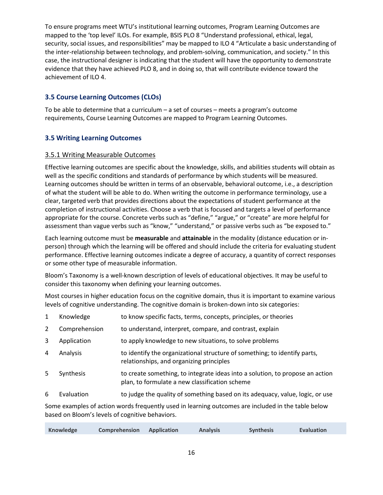To ensure programs meet WTU's institutional learning outcomes, Program Learning Outcomes are mapped to the 'top level' ILOs. For example, BSIS PLO 8 "Understand professional, ethical, legal, security, social issues, and responsibilities" may be mapped to ILO 4 "Articulate a basic understanding of the inter-relationship between technology, and problem-solving, communication, and society." In this case, the instructional designer is indicating that the student will have the opportunity to demonstrate evidence that they have achieved PLO 8, and in doing so, that will contribute evidence toward the achievement of ILO 4.

#### <span id="page-18-0"></span>**3.5 Course Learning Outcomes (CLOs)**

To be able to determine that a curriculum – a set of courses – meets a program's outcome requirements, Course Learning Outcomes are mapped to Program Learning Outcomes.

#### <span id="page-18-1"></span>**3.5 Writing Learning Outcomes**

#### <span id="page-18-2"></span>3.5.1 Writing Measurable Outcomes

Effective learning outcomes are specific about the knowledge, skills, and abilities students will obtain as well as the specific conditions and standards of performance by which students will be measured. Learning outcomes should be written in terms of an observable, behavioral outcome, i.e., a description of what the student will be able to do. When writing the outcome in performance terminology, use a clear, targeted verb that provides directions about the expectations of student performance at the completion of instructional activities. Choose a verb that is focused and targets a level of performance appropriate for the course. Concrete verbs such as "define," "argue," or "create" are more helpful for assessment than vague verbs such as "know," "understand," or passive verbs such as "be exposed to."

Each learning outcome must be **measurable** and **attainable** in the modality (distance education or inperson) through which the learning will be offered and should include the criteria for evaluating student performance. Effective learning outcomes indicate a degree of accuracy, a quantity of correct responses or some other type of measurable information.

Bloom's Taxonomy is a well-known description of levels of educational objectives. It may be useful to consider this taxonomy when defining your learning outcomes.

Most courses in higher education focus on the cognitive domain, thus it is important to examine various levels of cognitive understanding. The cognitive domain is broken-down into six categories:

| $\mathbf{1}$ | Knowledge     | to know specific facts, terms, concepts, principles, or theories                                                                |
|--------------|---------------|---------------------------------------------------------------------------------------------------------------------------------|
| 2            | Comprehension | to understand, interpret, compare, and contrast, explain                                                                        |
| 3            | Application   | to apply knowledge to new situations, to solve problems                                                                         |
| 4            | Analysis      | to identify the organizational structure of something; to identify parts,<br>relationships, and organizing principles           |
| 5            | Synthesis     | to create something, to integrate ideas into a solution, to propose an action<br>plan, to formulate a new classification scheme |
| 6            | Evaluation    | to judge the quality of something based on its adequacy, value, logic, or use                                                   |
|              |               |                                                                                                                                 |

Some examples of action words frequently used in learning outcomes are included in the table below based on Bloom's levels of cognitive behaviors.

| Knowledge | Comprehension | Application | <b>Analysis</b> | <b>Synthesis</b> | Evaluation |
|-----------|---------------|-------------|-----------------|------------------|------------|
|           |               |             |                 |                  |            |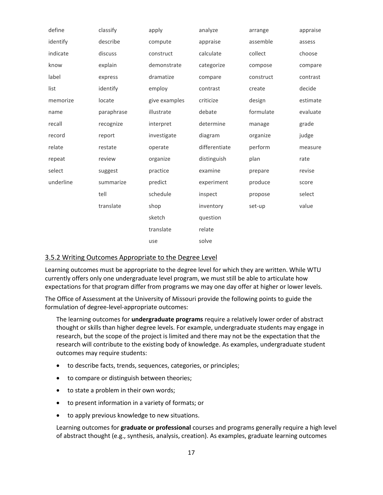| define    | classify   | apply         | analyze       | arrange   | appraise |
|-----------|------------|---------------|---------------|-----------|----------|
| identify  | describe   | compute       | appraise      | assemble  | assess   |
| indicate  | discuss    | construct     | calculate     | collect   | choose   |
| know      | explain    | demonstrate   | categorize    | compose   | compare  |
| label     | express    | dramatize     | compare       | construct | contrast |
| list      | identify   | employ        | contrast      | create    | decide   |
| memorize  | locate     | give examples | criticize     | design    | estimate |
| name      | paraphrase | illustrate    | debate        | formulate | evaluate |
| recall    | recognize  | interpret     | determine     | manage    | grade    |
| record    | report     | investigate   | diagram       | organize  | judge    |
| relate    | restate    | operate       | differentiate | perform   | measure  |
| repeat    | review     | organize      | distinguish   | plan      | rate     |
| select    | suggest    | practice      | examine       | prepare   | revise   |
| underline | summarize  | predict       | experiment    | produce   | score    |
|           | tell       | schedule      | inspect       | propose   | select   |
|           | translate  | shop          | inventory     | set-up    | value    |
|           |            | sketch        | question      |           |          |
|           |            | translate     | relate        |           |          |
|           |            | use           | solve         |           |          |

#### <span id="page-19-0"></span>3.5.2 Writing Outcomes Appropriate to the Degree Level

Learning outcomes must be appropriate to the degree level for which they are written. While WTU currently offers only one undergraduate level program, we must still be able to articulate how expectations for that program differ from programs we may one day offer at higher or lower levels.

The Office of Assessment at the University of Missouri provide the following points to guide the formulation of degree-level-appropriate outcomes:

The learning outcomes for **undergraduate programs** require a relatively lower order of abstract thought or skills than higher degree levels. For example, undergraduate students may engage in research, but the scope of the project is limited and there may not be the expectation that the research will contribute to the existing body of knowledge. As examples, undergraduate student outcomes may require students:

- to describe facts, trends, sequences, categories, or principles;
- to compare or distinguish between theories;
- to state a problem in their own words;
- to present information in a variety of formats; or
- to apply previous knowledge to new situations.

Learning outcomes for **graduate or professional** courses and programs generally require a high level of abstract thought (e.g., synthesis, analysis, creation). As examples, graduate learning outcomes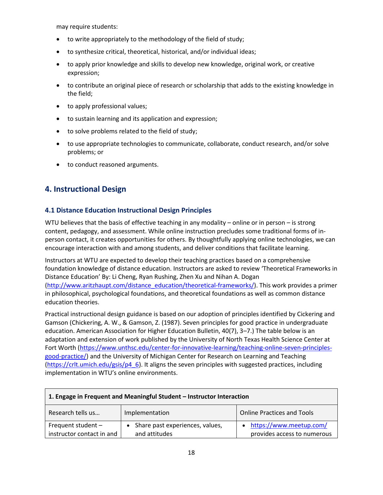may require students:

- to write appropriately to the methodology of the field of study;
- to synthesize critical, theoretical, historical, and/or individual ideas;
- to apply prior knowledge and skills to develop new knowledge, original work, or creative expression;
- to contribute an original piece of research or scholarship that adds to the existing knowledge in the field;
- to apply professional values;
- to sustain learning and its application and expression;
- to solve problems related to the field of study;
- to use appropriate technologies to communicate, collaborate, conduct research, and/or solve problems; or
- to conduct reasoned arguments.

# <span id="page-20-0"></span>**4. Instructional Design**

#### <span id="page-20-1"></span>**4.1 Distance Education Instructional Design Principles**

WTU believes that the basis of effective teaching in any modality – online or in person – is strong content, pedagogy, and assessment. While online instruction precludes some traditional forms of inperson contact, it creates opportunities for others. By thoughtfully applying online technologies, we can encourage interaction with and among students, and deliver conditions that facilitate learning.

Instructors at WTU are expected to develop their teaching practices based on a comprehensive foundation knowledge of distance education. Instructors are asked to review 'Theoretical Frameworks in Distance Education' By: Li Cheng, Ryan Rushing, Zhen Xu and Nihan A. Dogan [\(http://www.aritzhaupt.com/distance\\_education/theoretical-frameworks/\)](http://www.aritzhaupt.com/distance_education/theoretical-frameworks/). This work provides a primer in philosophical, psychological foundations, and theoretical foundations as well as common distance education theories.

Practical instructional design guidance is based on our adoption of principles identified by Cickering and Gamson (Chickering, A. W., & Gamson, Z. (1987). Seven principles for good practice in undergraduate education. American Association for Higher Education Bulletin, 40(7), 3–7.) The table below is an adaptation and extension of work published by the University of North Texas Health Science Center at Fort Worth [\(https://www.unthsc.edu/center-for-innovative-learning/teaching-online-seven-principles](https://www.unthsc.edu/center-for-innovative-learning/teaching-online-seven-principles-good-practice/)[good-practice/\)](https://www.unthsc.edu/center-for-innovative-learning/teaching-online-seven-principles-good-practice/) and the University of Michigan Center for Research on Learning and Teaching [\(https://crlt.umich.edu/gsis/p4\\_6\)](https://crlt.umich.edu/gsis/p4_6). It aligns the seven principles with suggested practices, including implementation in WTU's online environments.

| 1. Engage in Frequent and Meaningful Student - Instructor Interaction |                                 |                                   |  |
|-----------------------------------------------------------------------|---------------------------------|-----------------------------------|--|
| Research tells us                                                     | Implementation                  | <b>Online Practices and Tools</b> |  |
| Frequent student -                                                    | Share past experiences, values, | • https://www.meetup.com/         |  |
| instructor contact in and                                             | and attitudes                   | provides access to numerous       |  |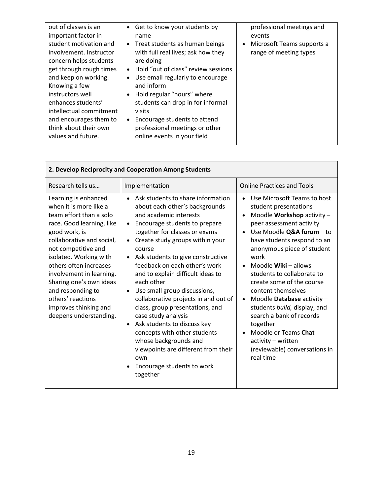| out of classes is an                                                                                                                                                                                                                                                                          | Get to know your students by<br>$\bullet$                                                                                                                                                                                                                                                                                                                                              | professional meetings and                            |
|-----------------------------------------------------------------------------------------------------------------------------------------------------------------------------------------------------------------------------------------------------------------------------------------------|----------------------------------------------------------------------------------------------------------------------------------------------------------------------------------------------------------------------------------------------------------------------------------------------------------------------------------------------------------------------------------------|------------------------------------------------------|
| important factor in                                                                                                                                                                                                                                                                           | name                                                                                                                                                                                                                                                                                                                                                                                   | events                                               |
| student motivation and<br>involvement. Instructor<br>concern helps students<br>get through rough times<br>and keep on working.<br>Knowing a few<br>instructors well<br>enhances students'<br>intellectual commitment<br>and encourages them to<br>think about their own<br>values and future. | • Treat students as human beings<br>with full real lives; ask how they<br>are doing<br>• Hold "out of class" review sessions<br>Use email regularly to encourage<br>$\bullet$<br>and inform<br>Hold regular "hours" where<br>students can drop in for informal<br>visits<br>Encourage students to attend<br>$\bullet$<br>professional meetings or other<br>online events in your field | Microsoft Teams supports a<br>range of meeting types |
|                                                                                                                                                                                                                                                                                               |                                                                                                                                                                                                                                                                                                                                                                                        |                                                      |

| 2. Develop Reciprocity and Cooperation Among Students                                                                                                                                                                                                                                                                                                                               |                                                                                                                                                                                                                                                                                                                                                                                                                                                                                                                                                                                                                                                                        |                                                                                                                                                                                                                                                                                                                                                                                                                                                                                                                                                                                                                  |
|-------------------------------------------------------------------------------------------------------------------------------------------------------------------------------------------------------------------------------------------------------------------------------------------------------------------------------------------------------------------------------------|------------------------------------------------------------------------------------------------------------------------------------------------------------------------------------------------------------------------------------------------------------------------------------------------------------------------------------------------------------------------------------------------------------------------------------------------------------------------------------------------------------------------------------------------------------------------------------------------------------------------------------------------------------------------|------------------------------------------------------------------------------------------------------------------------------------------------------------------------------------------------------------------------------------------------------------------------------------------------------------------------------------------------------------------------------------------------------------------------------------------------------------------------------------------------------------------------------------------------------------------------------------------------------------------|
| Research tells us                                                                                                                                                                                                                                                                                                                                                                   | Implementation                                                                                                                                                                                                                                                                                                                                                                                                                                                                                                                                                                                                                                                         | <b>Online Practices and Tools</b>                                                                                                                                                                                                                                                                                                                                                                                                                                                                                                                                                                                |
| Learning is enhanced<br>when it is more like a<br>team effort than a solo<br>race. Good learning, like<br>good work, is<br>collaborative and social,<br>not competitive and<br>isolated. Working with<br>others often increases<br>involvement in learning.<br>Sharing one's own ideas<br>and responding to<br>others' reactions<br>improves thinking and<br>deepens understanding. | • Ask students to share information<br>about each other's backgrounds<br>and academic interests<br>Encourage students to prepare<br>together for classes or exams<br>Create study groups within your<br>$\bullet$<br>course<br>Ask students to give constructive<br>feedback on each other's work<br>and to explain difficult ideas to<br>each other<br>Use small group discussions,<br>collaborative projects in and out of<br>class, group presentations, and<br>case study analysis<br>Ask students to discuss key<br>concepts with other students<br>whose backgrounds and<br>viewpoints are different from their<br>own<br>Encourage students to work<br>together | Use Microsoft Teams to host<br>$\bullet$<br>student presentations<br>Moodle Workshop activity -<br>$\bullet$<br>peer assessment activity<br>Use Moodle Q&A forum - to<br>$\bullet$<br>have students respond to an<br>anonymous piece of student<br>work<br>Moodle <b>Wiki</b> – allows<br>$\bullet$<br>students to collaborate to<br>create some of the course<br>content themselves<br>Moodle Database activity -<br>$\bullet$<br>students build, display, and<br>search a bank of records<br>together<br>Moodle or Teams Chat<br>$\bullet$<br>activity - written<br>(reviewable) conversations in<br>real time |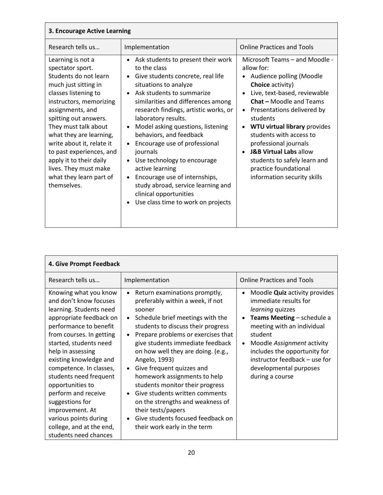| 3. Encourage Active Learning                                                                                                                                                                                                                                                                                                                                                                     |                                                                                                                                                                                                                                                                                                                                                                                                                                                                                                                                                                                                    |                                                                                                                                                                                                                                                                                                                                                                                                                                                                                |
|--------------------------------------------------------------------------------------------------------------------------------------------------------------------------------------------------------------------------------------------------------------------------------------------------------------------------------------------------------------------------------------------------|----------------------------------------------------------------------------------------------------------------------------------------------------------------------------------------------------------------------------------------------------------------------------------------------------------------------------------------------------------------------------------------------------------------------------------------------------------------------------------------------------------------------------------------------------------------------------------------------------|--------------------------------------------------------------------------------------------------------------------------------------------------------------------------------------------------------------------------------------------------------------------------------------------------------------------------------------------------------------------------------------------------------------------------------------------------------------------------------|
| Research tells us                                                                                                                                                                                                                                                                                                                                                                                | Implementation                                                                                                                                                                                                                                                                                                                                                                                                                                                                                                                                                                                     | <b>Online Practices and Tools</b>                                                                                                                                                                                                                                                                                                                                                                                                                                              |
| Learning is not a<br>spectator sport.<br>Students do not learn<br>much just sitting in<br>classes listening to<br>instructors, memorizing<br>assignments, and<br>spitting out answers.<br>They must talk about<br>what they are learning,<br>write about it, relate it<br>to past experiences, and<br>apply it to their daily<br>lives. They must make<br>what they learn part of<br>themselves. | • Ask students to present their work<br>to the class<br>Give students concrete, real life<br>situations to analyze<br>Ask students to summarize<br>similarities and differences among<br>research findings, artistic works, or<br>laboratory results.<br>Model asking questions, listening<br>behaviors, and feedback<br>Encourage use of professional<br>$\bullet$<br>journals<br>Use technology to encourage<br>$\bullet$<br>active learning<br>Encourage use of internships,<br>$\bullet$<br>study abroad, service learning and<br>clinical opportunities<br>Use class time to work on projects | Microsoft Teams - and Moodle -<br>allow for:<br>Audience polling (Moodle<br><b>Choice activity)</b><br>Live, text-based, reviewable<br><b>Chat - Moodle and Teams</b><br>Presentations delivered by<br>$\bullet$<br>students<br><b>WTU virtual library provides</b><br>$\bullet$<br>students with access to<br>professional journals<br><b>J&amp;B Virtual Labs allow</b><br>$\bullet$<br>students to safely learn and<br>practice foundational<br>information security skills |

| 4. Give Prompt Feedback                                                                                                                                                                                                                                                                                                                                                                                                                                  |                                                                                                                                                                                                                                                                                                                                                                                                                                                                                                                                                                                   |                                                                                                                                                                                                                                                                                                                                             |
|----------------------------------------------------------------------------------------------------------------------------------------------------------------------------------------------------------------------------------------------------------------------------------------------------------------------------------------------------------------------------------------------------------------------------------------------------------|-----------------------------------------------------------------------------------------------------------------------------------------------------------------------------------------------------------------------------------------------------------------------------------------------------------------------------------------------------------------------------------------------------------------------------------------------------------------------------------------------------------------------------------------------------------------------------------|---------------------------------------------------------------------------------------------------------------------------------------------------------------------------------------------------------------------------------------------------------------------------------------------------------------------------------------------|
| Research tells us                                                                                                                                                                                                                                                                                                                                                                                                                                        | Implementation                                                                                                                                                                                                                                                                                                                                                                                                                                                                                                                                                                    | <b>Online Practices and Tools</b>                                                                                                                                                                                                                                                                                                           |
| Knowing what you know<br>and don't know focuses<br>learning. Students need<br>appropriate feedback on<br>performance to benefit<br>from courses. In getting<br>started, students need<br>help in assessing<br>existing knowledge and<br>competence. In classes,<br>students need frequent<br>opportunities to<br>perform and receive<br>suggestions for<br>improvement. At<br>various points during<br>college, and at the end,<br>students need chances | Return examinations promptly,<br>$\bullet$<br>preferably within a week, if not<br>sooner<br>Schedule brief meetings with the<br>$\bullet$<br>students to discuss their progress<br>Prepare problems or exercises that<br>give students immediate feedback<br>on how well they are doing. (e.g.,<br>Angelo, 1993)<br>Give frequent quizzes and<br>homework assignments to help<br>students monitor their progress<br>Give students written comments<br>on the strengths and weakness of<br>their tests/papers<br>Give students focused feedback on<br>their work early in the term | Moodle <b>Quiz</b> activity provides<br>$\bullet$<br>immediate results for<br>learning quizzes<br>Teams Meeting - schedule a<br>$\bullet$<br>meeting with an individual<br>student<br>Moodle Assignment activity<br>$\bullet$<br>includes the opportunity for<br>instructor feedback - use for<br>developmental purposes<br>during a course |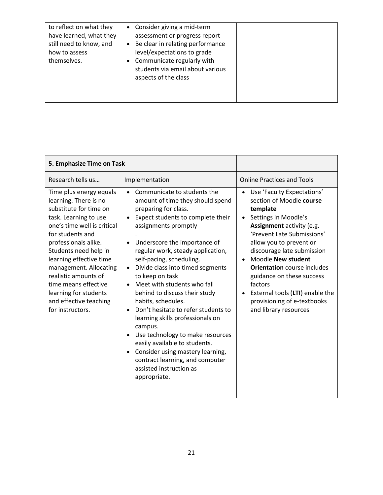| to reflect on what they<br>have learned, what they<br>still need to know, and<br>how to assess<br>themselves. | • Consider giving a mid-term<br>assessment or progress report<br>Be clear in relating performance<br>$\bullet$<br>level/expectations to grade<br>• Communicate regularly with<br>students via email about various<br>aspects of the class |  |
|---------------------------------------------------------------------------------------------------------------|-------------------------------------------------------------------------------------------------------------------------------------------------------------------------------------------------------------------------------------------|--|
|---------------------------------------------------------------------------------------------------------------|-------------------------------------------------------------------------------------------------------------------------------------------------------------------------------------------------------------------------------------------|--|

| 5. Emphasize Time on Task                                                                                                                                                                                                                                                                                                                                                           |                                                                                                                                                                                                                                                                                                                                                                                                                                                                                                                                                                                                                                                                                                           |                                                                                                                                                                                                                                                                                                                                                                                                                                                      |
|-------------------------------------------------------------------------------------------------------------------------------------------------------------------------------------------------------------------------------------------------------------------------------------------------------------------------------------------------------------------------------------|-----------------------------------------------------------------------------------------------------------------------------------------------------------------------------------------------------------------------------------------------------------------------------------------------------------------------------------------------------------------------------------------------------------------------------------------------------------------------------------------------------------------------------------------------------------------------------------------------------------------------------------------------------------------------------------------------------------|------------------------------------------------------------------------------------------------------------------------------------------------------------------------------------------------------------------------------------------------------------------------------------------------------------------------------------------------------------------------------------------------------------------------------------------------------|
| Research tells us                                                                                                                                                                                                                                                                                                                                                                   | Implementation                                                                                                                                                                                                                                                                                                                                                                                                                                                                                                                                                                                                                                                                                            | <b>Online Practices and Tools</b>                                                                                                                                                                                                                                                                                                                                                                                                                    |
| Time plus energy equals<br>learning. There is no<br>substitute for time on<br>task. Learning to use<br>one's time well is critical<br>for students and<br>professionals alike.<br>Students need help in<br>learning effective time<br>management. Allocating<br>realistic amounts of<br>time means effective<br>learning for students<br>and effective teaching<br>for instructors. | Communicate to students the<br>$\bullet$<br>amount of time they should spend<br>preparing for class.<br>Expect students to complete their<br>assignments promptly<br>Underscore the importance of<br>regular work, steady application,<br>self-pacing, scheduling.<br>Divide class into timed segments<br>$\bullet$<br>to keep on task<br>Meet with students who fall<br>behind to discuss their study<br>habits, schedules.<br>Don't hesitate to refer students to<br>learning skills professionals on<br>campus.<br>Use technology to make resources<br>easily available to students.<br>Consider using mastery learning,<br>contract learning, and computer<br>assisted instruction as<br>appropriate. | Use 'Faculty Expectations'<br>$\bullet$<br>section of Moodle course<br>template<br>Settings in Moodle's<br>$\bullet$<br>Assignment activity (e.g.<br>'Prevent Late Submissions'<br>allow you to prevent or<br>discourage late submission<br>Moodle New student<br>$\bullet$<br><b>Orientation</b> course includes<br>guidance on these success<br>factors<br>External tools (LTI) enable the<br>provisioning of e-textbooks<br>and library resources |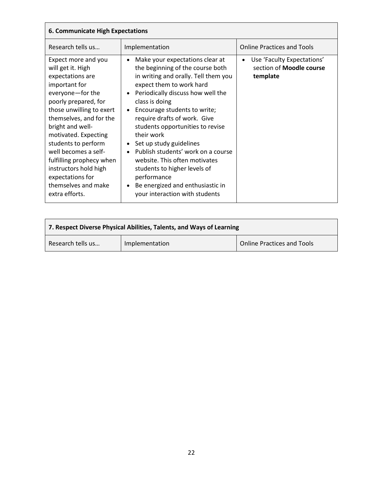| <b>6. Communicate High Expectations</b>                                                                                                                                                                                                                                                                                                                                                       |                                                                                                                                                                                                                                                                                                                                                                                                                                                                                                                                                                                             |                                                                                        |
|-----------------------------------------------------------------------------------------------------------------------------------------------------------------------------------------------------------------------------------------------------------------------------------------------------------------------------------------------------------------------------------------------|---------------------------------------------------------------------------------------------------------------------------------------------------------------------------------------------------------------------------------------------------------------------------------------------------------------------------------------------------------------------------------------------------------------------------------------------------------------------------------------------------------------------------------------------------------------------------------------------|----------------------------------------------------------------------------------------|
| Research tells us                                                                                                                                                                                                                                                                                                                                                                             | Implementation                                                                                                                                                                                                                                                                                                                                                                                                                                                                                                                                                                              | <b>Online Practices and Tools</b>                                                      |
| Expect more and you<br>will get it. High<br>expectations are<br>important for<br>everyone-for the<br>poorly prepared, for<br>those unwilling to exert<br>themselves, and for the<br>bright and well-<br>motivated. Expecting<br>students to perform<br>well becomes a self-<br>fulfilling prophecy when<br>instructors hold high<br>expectations for<br>themselves and make<br>extra efforts. | Make your expectations clear at<br>$\bullet$<br>the beginning of the course both<br>in writing and orally. Tell them you<br>expect them to work hard<br>Periodically discuss how well the<br>class is doing<br>Encourage students to write;<br>$\bullet$<br>require drafts of work. Give<br>students opportunities to revise<br>their work<br>Set up study guidelines<br>Publish students' work on a course<br>$\bullet$<br>website. This often motivates<br>students to higher levels of<br>performance<br>Be energized and enthusiastic in<br>$\bullet$<br>your interaction with students | Use 'Faculty Expectations'<br>$\bullet$<br>section of <b>Moodle course</b><br>template |

| 7. Respect Diverse Physical Abilities, Talents, and Ways of Learning |                |                                   |
|----------------------------------------------------------------------|----------------|-----------------------------------|
| Research tells us                                                    | Implementation | <b>Online Practices and Tools</b> |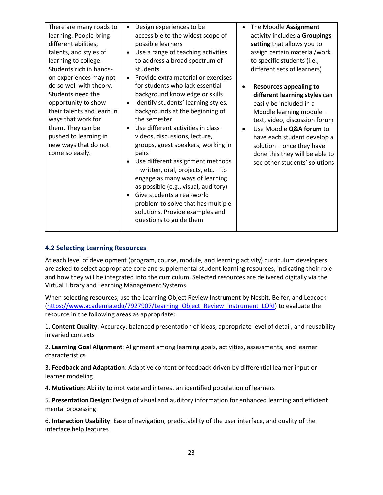| There are many roads to<br>learning. People bring<br>different abilities,<br>talents, and styles of<br>learning to college.<br>Students rich in hands-                                                                                     | Design experiences to be<br>$\bullet$<br>accessible to the widest scope of<br>possible learners<br>Use a range of teaching activities<br>to address a broad spectrum of<br>students                                                                                                                                                                                                                                                                                                                                                                                                                                | The Moodle Assignment<br>$\bullet$<br>activity includes a Groupings<br>setting that allows you to<br>assign certain material/work<br>to specific students (i.e.,<br>different sets of learners)                                                                                                                                            |
|--------------------------------------------------------------------------------------------------------------------------------------------------------------------------------------------------------------------------------------------|--------------------------------------------------------------------------------------------------------------------------------------------------------------------------------------------------------------------------------------------------------------------------------------------------------------------------------------------------------------------------------------------------------------------------------------------------------------------------------------------------------------------------------------------------------------------------------------------------------------------|--------------------------------------------------------------------------------------------------------------------------------------------------------------------------------------------------------------------------------------------------------------------------------------------------------------------------------------------|
| on experiences may not<br>do so well with theory.<br>Students need the<br>opportunity to show<br>their talents and learn in<br>ways that work for<br>them. They can be<br>pushed to learning in<br>new ways that do not<br>come so easily. | Provide extra material or exercises<br>for students who lack essential<br>background knowledge or skills<br>Identify students' learning styles,<br>backgrounds at the beginning of<br>the semester<br>Use different activities in class -<br>videos, discussions, lecture,<br>groups, guest speakers, working in<br>pairs<br>Use different assignment methods<br>- written, oral, projects, etc. - to<br>engage as many ways of learning<br>as possible (e.g., visual, auditory)<br>Give students a real-world<br>problem to solve that has multiple<br>solutions. Provide examples and<br>questions to guide them | <b>Resources appealing to</b><br>$\bullet$<br>different learning styles can<br>easily be included in a<br>Moodle learning module -<br>text, video, discussion forum<br>Use Moodle Q&A forum to<br>$\bullet$<br>have each student develop a<br>solution - once they have<br>done this they will be able to<br>see other students' solutions |

#### <span id="page-25-0"></span>**4.2 Selecting Learning Resources**

At each level of development (program, course, module, and learning activity) curriculum developers are asked to select appropriate core and supplemental student learning resources, indicating their role and how they will be integrated into the curriculum. Selected resources are delivered digitally via the Virtual Library and Learning Management Systems.

When selecting resources, use the Learning Object Review Instrument by Nesbit, Belfer, and Leacock [\(https://www.academia.edu/7927907/Learning\\_Object\\_Review\\_Instrument\\_LORI\)](https://www.academia.edu/7927907/Learning_Object_Review_Instrument_LORI) to evaluate the resource in the following areas as appropriate:

1. **Content Quality**: Accuracy, balanced presentation of ideas, appropriate level of detail, and reusability in varied contexts

2. **Learning Goal Alignment**: Alignment among learning goals, activities, assessments, and learner characteristics

3. **Feedback and Adaptation**: Adaptive content or feedback driven by differential learner input or learner modeling

4. **Motivation**: Ability to motivate and interest an identified population of learners

5. **Presentation Design**: Design of visual and auditory information for enhanced learning and efficient mental processing

6. **Interaction Usability**: Ease of navigation, predictability of the user interface, and quality of the interface help features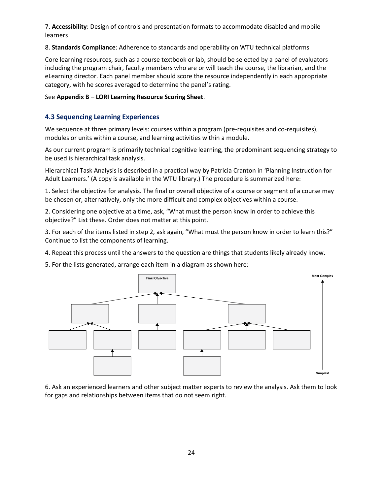7. **Accessibility**: Design of controls and presentation formats to accommodate disabled and mobile learners

8. **Standards Compliance**: Adherence to standards and operability on WTU technical platforms

Core learning resources, such as a course textbook or lab, should be selected by a panel of evaluators including the program chair, faculty members who are or will teach the course, the librarian, and the eLearning director. Each panel member should score the resource independently in each appropriate category, with he scores averaged to determine the panel's rating.

See **Appendix B – LORI Learning Resource Scoring Sheet**.

#### <span id="page-26-0"></span>**4.3 Sequencing Learning Experiences**

We sequence at three primary levels: courses within a program (pre-requisites and co-requisites), modules or units within a course, and learning activities within a module.

As our current program is primarily technical cognitive learning, the predominant sequencing strategy to be used is hierarchical task analysis.

Hierarchical Task Analysis is described in a practical way by Patricia Cranton in 'Planning Instruction for Adult Learners.' (A copy is available in the WTU library.) The procedure is summarized here:

1. Select the objective for analysis. The final or overall objective of a course or segment of a course may be chosen or, alternatively, only the more difficult and complex objectives within a course.

2. Considering one objective at a time, ask, "What must the person know in order to achieve this objective?" List these. Order does not matter at this point.

3. For each of the items listed in step 2, ask again, "What must the person know in order to learn this?" Continue to list the components of learning.

4. Repeat this process until the answers to the question are things that students likely already know.

5. For the lists generated, arrange each item in a diagram as shown here:



6. Ask an experienced learners and other subject matter experts to review the analysis. Ask them to look for gaps and relationships between items that do not seem right.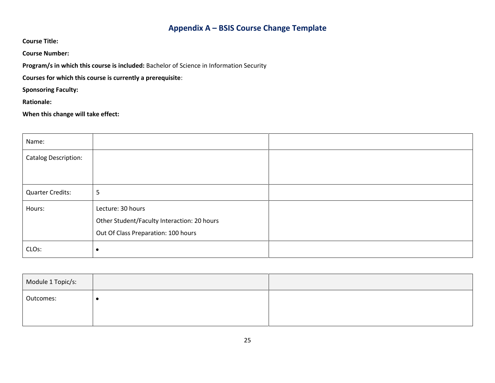# **Appendix A – BSIS Course Change Template**

**Course Title:** 

**Course Number:** 

**Program/s in which this course is included:** Bachelor of Science in Information Security

**Courses for which this course is currently a prerequisite**:

**Sponsoring Faculty:** 

**Rationale:** 

**When this change will take effect:** 

<span id="page-27-0"></span>

| Name:                       |                                                                                                         |  |
|-----------------------------|---------------------------------------------------------------------------------------------------------|--|
| <b>Catalog Description:</b> |                                                                                                         |  |
|                             |                                                                                                         |  |
| <b>Quarter Credits:</b>     | 5                                                                                                       |  |
| Hours:                      | Lecture: 30 hours<br>Other Student/Faculty Interaction: 20 hours<br>Out Of Class Preparation: 100 hours |  |
| CLO <sub>s</sub> :          | $\bullet$                                                                                               |  |

| Module 1 Topic/s: |  |
|-------------------|--|
| Outcomes:         |  |
|                   |  |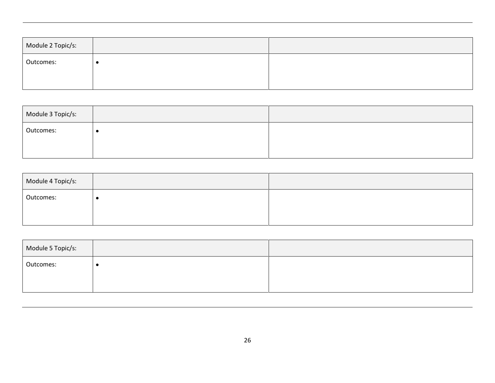| Module 2 Topic/s: |  |
|-------------------|--|
| Outcomes:         |  |
|                   |  |

| Module 3 Topic/s: |  |
|-------------------|--|
| Outcomes:         |  |
|                   |  |

| Module 4 Topic/s: |  |
|-------------------|--|
| Outcomes:         |  |
|                   |  |

| Module 5 Topic/s: |  |
|-------------------|--|
| Outcomes:         |  |
|                   |  |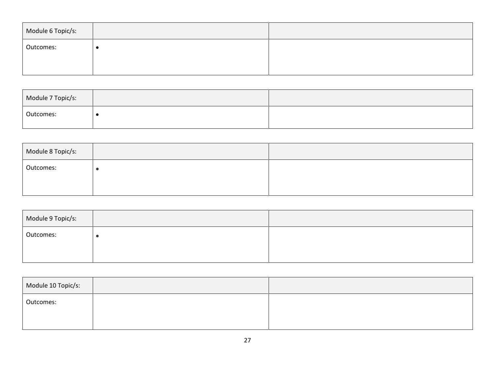| Module 6 Topic/s: |  |
|-------------------|--|
| Outcomes:         |  |
|                   |  |

| Module 7 Topic/s: |  |
|-------------------|--|
| Outcomes:         |  |

| Module 8 Topic/s: |  |
|-------------------|--|
| Outcomes:         |  |
|                   |  |

| Module 9 Topic/s: |  |
|-------------------|--|
| Outcomes:         |  |
|                   |  |

| Module 10 Topic/s: |  |
|--------------------|--|
| Outcomes:          |  |
|                    |  |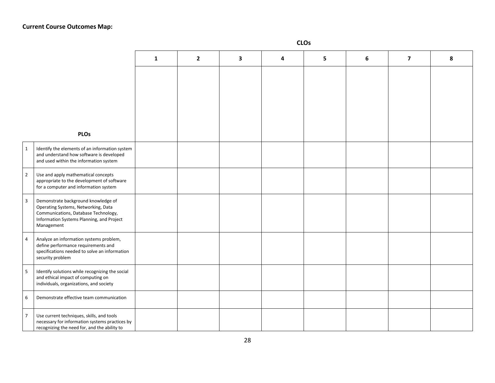|                  |                                                                                                                                                                               | $\mathbf{1}$ | $\overline{2}$ | 3 | 4 | 5 | 6 | $\overline{\mathbf{z}}$ | 8 |
|------------------|-------------------------------------------------------------------------------------------------------------------------------------------------------------------------------|--------------|----------------|---|---|---|---|-------------------------|---|
|                  |                                                                                                                                                                               |              |                |   |   |   |   |                         |   |
|                  | <b>PLOs</b>                                                                                                                                                                   |              |                |   |   |   |   |                         |   |
| $\mathbf{1}$     | Identify the elements of an information system<br>and understand how software is developed<br>and used within the information system                                          |              |                |   |   |   |   |                         |   |
| $\mathbf 2$      | Use and apply mathematical concepts<br>appropriate to the development of software<br>for a computer and information system                                                    |              |                |   |   |   |   |                         |   |
| $\overline{3}$   | Demonstrate background knowledge of<br>Operating Systems, Networking, Data<br>Communications, Database Technology,<br>Information Systems Planning, and Project<br>Management |              |                |   |   |   |   |                         |   |
| $\overline{a}$   | Analyze an information systems problem,<br>define performance requirements and<br>specifications needed to solve an information<br>security problem                           |              |                |   |   |   |   |                         |   |
| $\sf 5$          | Identify solutions while recognizing the social<br>and ethical impact of computing on<br>individuals, organizations, and society                                              |              |                |   |   |   |   |                         |   |
| $\boldsymbol{6}$ | Demonstrate effective team communication                                                                                                                                      |              |                |   |   |   |   |                         |   |
| $\overline{7}$   | Use current techniques, skills, and tools<br>necessary for information systems practices by<br>recognizing the need for, and the ability to                                   |              |                |   |   |   |   |                         |   |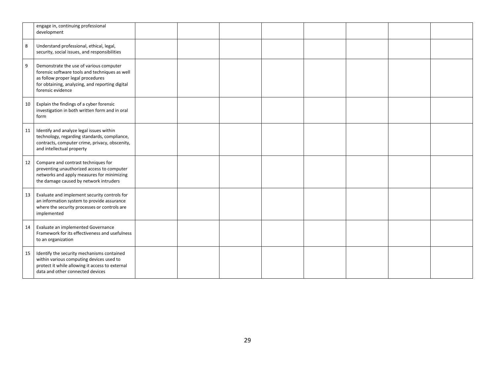|    | engage in, continuing professional<br>development                                                                                                                                                      |  |  |  |  |
|----|--------------------------------------------------------------------------------------------------------------------------------------------------------------------------------------------------------|--|--|--|--|
| 8  | Understand professional, ethical, legal,<br>security, social issues, and responsibilities                                                                                                              |  |  |  |  |
| 9  | Demonstrate the use of various computer<br>forensic software tools and techniques as well<br>as follow proper legal procedures<br>for obtaining, analyzing, and reporting digital<br>forensic evidence |  |  |  |  |
| 10 | Explain the findings of a cyber forensic<br>investigation in both written form and in oral<br>form                                                                                                     |  |  |  |  |
| 11 | Identify and analyze legal issues within<br>technology, regarding standards, compliance,<br>contracts, computer crime, privacy, obscenity,<br>and intellectual property                                |  |  |  |  |
| 12 | Compare and contrast techniques for<br>preventing unauthorized access to computer<br>networks and apply measures for minimizing<br>the damage caused by network intruders                              |  |  |  |  |
| 13 | Evaluate and implement security controls for<br>an information system to provide assurance<br>where the security processes or controls are<br>implemented                                              |  |  |  |  |
| 14 | Evaluate an implemented Governance<br>Framework for its effectiveness and usefulness<br>to an organization                                                                                             |  |  |  |  |
| 15 | Identify the security mechanisms contained<br>within various computing devices used to<br>protect it while allowing it access to external<br>data and other connected devices                          |  |  |  |  |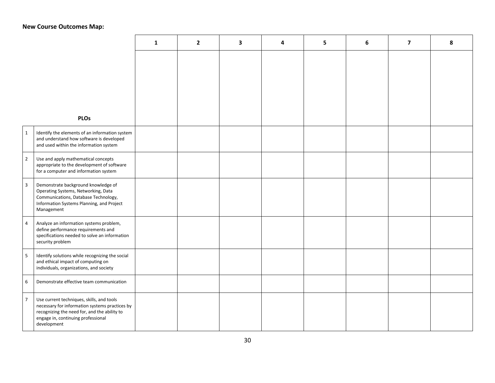#### **New Course Outcomes Map :**

|                         |                                                                                                                                                                                                  | 1 | $\overline{2}$ | 3 | 4 | 5 | 6 | $\overline{\mathbf{z}}$ | 8 |
|-------------------------|--------------------------------------------------------------------------------------------------------------------------------------------------------------------------------------------------|---|----------------|---|---|---|---|-------------------------|---|
|                         | <b>PLOs</b>                                                                                                                                                                                      |   |                |   |   |   |   |                         |   |
| $\mathbf{1}$            | Identify the elements of an information system<br>and understand how software is developed<br>and used within the information system                                                             |   |                |   |   |   |   |                         |   |
| $\overline{2}$          | Use and apply mathematical concepts<br>appropriate to the development of software<br>for a computer and information system                                                                       |   |                |   |   |   |   |                         |   |
| $\overline{\mathbf{3}}$ | Demonstrate background knowledge of<br>Operating Systems, Networking, Data<br>Communications, Database Technology,<br>Information Systems Planning, and Project<br>Management                    |   |                |   |   |   |   |                         |   |
| $\overline{4}$          | Analyze an information systems problem,<br>define performance requirements and<br>specifications needed to solve an information<br>security problem                                              |   |                |   |   |   |   |                         |   |
| 5                       | Identify solutions while recognizing the social<br>and ethical impact of computing on<br>individuals, organizations, and society                                                                 |   |                |   |   |   |   |                         |   |
| 6                       | Demonstrate effective team communication                                                                                                                                                         |   |                |   |   |   |   |                         |   |
| $\overline{7}$          | Use current techniques, skills, and tools<br>necessary for information systems practices by<br>recognizing the need for, and the ability to<br>engage in, continuing professional<br>development |   |                |   |   |   |   |                         |   |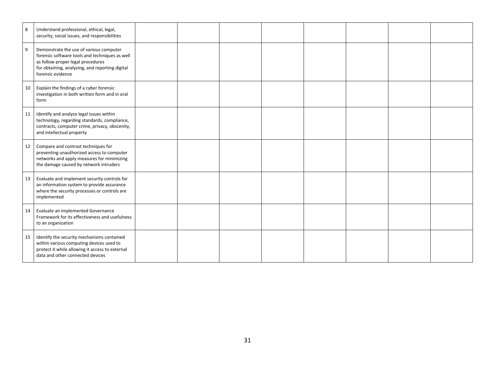| 8  | Understand professional, ethical, legal,<br>security, social issues, and responsibilities                                                                                                              |  |  |  |  |
|----|--------------------------------------------------------------------------------------------------------------------------------------------------------------------------------------------------------|--|--|--|--|
| 9  | Demonstrate the use of various computer<br>forensic software tools and techniques as well<br>as follow proper legal procedures<br>for obtaining, analyzing, and reporting digital<br>forensic evidence |  |  |  |  |
| 10 | Explain the findings of a cyber forensic<br>investigation in both written form and in oral<br>form                                                                                                     |  |  |  |  |
| 11 | Identify and analyze legal issues within<br>technology, regarding standards, compliance,<br>contracts, computer crime, privacy, obscenity,<br>and intellectual property                                |  |  |  |  |
| 12 | Compare and contrast techniques for<br>preventing unauthorized access to computer<br>networks and apply measures for minimizing<br>the damage caused by network intruders                              |  |  |  |  |
| 13 | Evaluate and implement security controls for<br>an information system to provide assurance<br>where the security processes or controls are<br>implemented                                              |  |  |  |  |
| 14 | Evaluate an implemented Governance<br>Framework for its effectiveness and usefulness<br>to an organization                                                                                             |  |  |  |  |
| 15 | Identify the security mechanisms contained<br>within various computing devices used to<br>protect it while allowing it access to external<br>data and other connected devices                          |  |  |  |  |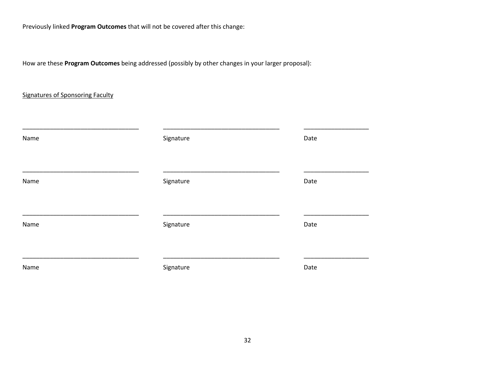Previously linked **Program Outcomes** that will not be covered after this change:

How are these **Program Outcomes** being addressed (possibly by other changes in your larger proposal):

#### Signatures of Sponsoring Faculty

| Name | Signature | Date |
|------|-----------|------|
| Name | Signature | Date |
| Name | Signature | Date |
| Name | Signature | Date |